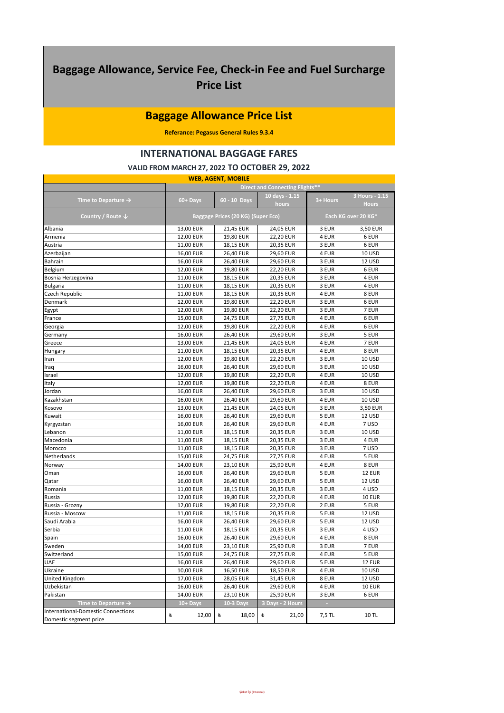## **Baggage Allowance, Service Fee, Check-in Fee and Fuel Surcharge Price List**

## **Baggage Allowance Price List**

**Referance: Pegasus General Rules 9.3.4**

## **INTERNATIONAL BAGGAGE FARES**

## **VALID FROM MARCH 27, 2022 TO OCTOBER 29, 2022**

| <b>WEB, AGENT, MOBILE</b>                 |                                                           |              |                                  |          |                                |  |  |  |
|-------------------------------------------|-----------------------------------------------------------|--------------|----------------------------------|----------|--------------------------------|--|--|--|
|                                           |                                                           |              | Direct and Connecting Flights**  |          |                                |  |  |  |
| Time to Departure $\rightarrow$           | 60+ Days                                                  | 60 - 10 Days | 10 days - 1.15<br>hours          | 3+ Hours | 3 Hours - 1.15<br><b>Hours</b> |  |  |  |
| Country / Route $\downarrow$              | Baggage Prices (20 KG) (Super Eco)<br>Each KG over 20 KG* |              |                                  |          |                                |  |  |  |
| Albania                                   | 13,00 EUR                                                 | 21,45 EUR    | 24,05 EUR                        | 3 EUR    | 3,50 EUR                       |  |  |  |
| Armenia                                   | 12,00 EUR                                                 | 19,80 EUR    | 22,20 EUR                        | 4 EUR    | 6 EUR                          |  |  |  |
| Austria                                   | 11,00 EUR                                                 | 18,15 EUR    | 20,35 EUR                        | 3 EUR    | 6 EUR                          |  |  |  |
| Azerbaijan                                | 16,00 EUR                                                 | 26,40 EUR    | 29,60 EUR                        | 4 EUR    | <b>10 USD</b>                  |  |  |  |
| <b>Bahrain</b>                            | 16,00 EUR                                                 | 26,40 EUR    | 29,60 EUR                        | 3 EUR    | 12 USD                         |  |  |  |
| Belgium                                   | 12,00 EUR                                                 | 19,80 EUR    | <b>22,20 EUR</b>                 | 3 EUR    | 6 EUR                          |  |  |  |
| Bosnia Herzegovina                        | 11,00 EUR                                                 | 18,15 EUR    | 20,35 EUR                        | 3 EUR    | 4 EUR                          |  |  |  |
| <b>Bulgaria</b>                           | 11,00 EUR                                                 | 18,15 EUR    | 20,35 EUR                        | 3 EUR    | 4 EUR                          |  |  |  |
| Czech Republic                            | 11,00 EUR                                                 | 18,15 EUR    | 20,35 EUR                        | 4 EUR    | 8 EUR                          |  |  |  |
| Denmark                                   | 12,00 EUR                                                 | 19,80 EUR    | <b>22,20 EUR</b>                 | 3 EUR    | 6 EUR                          |  |  |  |
| Egypt                                     | 12,00 EUR                                                 | 19,80 EUR    | <b>22,20 EUR</b>                 | 3 EUR    | 7 EUR                          |  |  |  |
| France                                    | 15,00 EUR                                                 | 24,75 EUR    | 27,75 EUR                        | 4 EUR    | 6 EUR                          |  |  |  |
| Georgia                                   | 12,00 EUR                                                 | 19,80 EUR    | <b>22,20 EUR</b>                 | 4 EUR    | 6 EUR                          |  |  |  |
| Germany                                   | 16,00 EUR                                                 | 26,40 EUR    | 29,60 EUR                        | 3 EUR    | 5 EUR                          |  |  |  |
| Greece                                    | 13,00 EUR                                                 | 21,45 EUR    | 24,05 EUR                        | 4 EUR    | 7 EUR                          |  |  |  |
| Hungary                                   | 11,00 EUR                                                 | 18,15 EUR    | 20,35 EUR                        | 4 EUR    | 8 EUR                          |  |  |  |
| Iran                                      | 12,00 EUR                                                 | 19,80 EUR    | <b>22,20 EUR</b>                 | 3 EUR    | 10 USD                         |  |  |  |
| Iraq                                      | 16,00 EUR                                                 | 26,40 EUR    | 29,60 EUR                        | 3 EUR    | <b>10 USD</b>                  |  |  |  |
| Israel                                    | 12,00 EUR                                                 | 19,80 EUR    | 22,20 EUR                        | 4 EUR    | <b>10 USD</b>                  |  |  |  |
| Italy                                     | 12,00 EUR                                                 | 19,80 EUR    | <b>22,20 EUR</b>                 | 4 EUR    | 8 EUR                          |  |  |  |
| Jordan                                    | 16,00 EUR                                                 | 26,40 EUR    | 29,60 EUR                        | 3 EUR    | <b>10 USD</b>                  |  |  |  |
| Kazakhstan                                | 16,00 EUR                                                 | 26,40 EUR    | 29,60 EUR                        | 4 EUR    | <b>10 USD</b>                  |  |  |  |
| Kosovo                                    | 13,00 EUR                                                 | 21,45 EUR    | 24,05 EUR                        | 3 EUR    | 3,50 EUR                       |  |  |  |
| Kuwait                                    | 16,00 EUR                                                 | 26,40 EUR    | 29,60 EUR                        | 5 EUR    | 12 USD                         |  |  |  |
| Kyrgyzstan                                | 16,00 EUR                                                 | 26,40 EUR    | 29,60 EUR                        | 4 EUR    | 7 USD                          |  |  |  |
| Lebanon                                   | 11,00 EUR                                                 | 18,15 EUR    | 20,35 EUR                        | 3 EUR    | <b>10 USD</b>                  |  |  |  |
| Macedonia                                 | 11,00 EUR                                                 | 18,15 EUR    | 20,35 EUR                        | 3 EUR    | 4 EUR                          |  |  |  |
| Morocco                                   | 11,00 EUR                                                 | 18,15 EUR    | 20,35 EUR                        | 3 EUR    | 7 USD                          |  |  |  |
| Netherlands                               | 15,00 EUR                                                 | 24,75 EUR    | 27,75 EUR                        | 4 EUR    | 5 EUR                          |  |  |  |
| Norway                                    | 14,00 EUR                                                 | 23,10 EUR    | 25,90 EUR                        | 4 EUR    | 8 EUR                          |  |  |  |
| Oman                                      | 16,00 EUR                                                 | 26,40 EUR    | 29,60 EUR                        | 5 EUR    | <b>12 EUR</b>                  |  |  |  |
| Qatar                                     | 16,00 EUR                                                 | 26,40 EUR    | 29,60 EUR                        | 5 EUR    | 12 USD                         |  |  |  |
| Romania                                   | 11,00 EUR                                                 | 18,15 EUR    | 20,35 EUR                        | 3 EUR    | 4 USD                          |  |  |  |
| Russia                                    | 12,00 EUR                                                 | 19,80 EUR    | <b>22,20 EUR</b>                 | 4 EUR    | <b>10 EUR</b>                  |  |  |  |
| Russia - Grozny                           | 12,00 EUR                                                 | 19,80 EUR    | <b>22,20 EUR</b>                 | 2 EUR    | 5 EUR                          |  |  |  |
| Russia - Moscow                           | 11,00 EUR                                                 | 18,15 EUR    | 20,35 EUR                        | 5 EUR    | 12 USD                         |  |  |  |
| Saudi Arabia                              | 16,00 EUR                                                 | 26,40 EUR    | 29,60 EUR                        | 5 EUR    | 12 USD                         |  |  |  |
| Serbia                                    | 11,00 EUR                                                 | 18,15 EUR    | 20,35 EUR                        | 3 EUR    | 4 USD                          |  |  |  |
| Spain                                     | 16,00 EUR                                                 | 26,40 EUR    | 29,60 EUR                        | 4 EUR    | 8 EUR                          |  |  |  |
| Sweden                                    | 14,00 EUR                                                 | 23,10 EUR    | 25,90 EUR                        | 3 EUR    | 7 EUR                          |  |  |  |
| Switzerland                               | 15,00 EUR                                                 | 24,75 EUR    | 27,75 EUR                        | 4 EUR    | 5 EUR                          |  |  |  |
| UAE                                       | 16,00 EUR                                                 | 26,40 EUR    | 29,60 EUR                        | 5 EUR    | <b>12 EUR</b>                  |  |  |  |
| Ukraine                                   | 10,00 EUR                                                 | 16,50 EUR    | 18,50 EUR                        | 4 EUR    | 10 USD                         |  |  |  |
| United Kingdom                            | 17,00 EUR                                                 | 28,05 EUR    | 31,45 EUR                        | 8 EUR    | 12 USD                         |  |  |  |
| Uzbekistan                                | 16,00 EUR                                                 | 26,40 EUR    | 29,60 EUR                        | 4 EUR    | <b>10 EUR</b>                  |  |  |  |
| Pakistan                                  | 14,00 EUR                                                 | 23,10 EUR    | 25,90 EUR                        | 3 EUR    | 6 EUR                          |  |  |  |
| Time to Departure $\rightarrow$           | $10 + \overline{$                                         | 10-3 Days    | Days - 2 Hours<br>$\overline{3}$ |          |                                |  |  |  |
| <b>International-Domestic Connections</b> |                                                           |              |                                  |          |                                |  |  |  |
| Domestic segment price                    | ŧ<br>12,00                                                | 18,00<br>老   | 21,00<br>ŧ                       | 7,5 TL   | <b>10 TL</b>                   |  |  |  |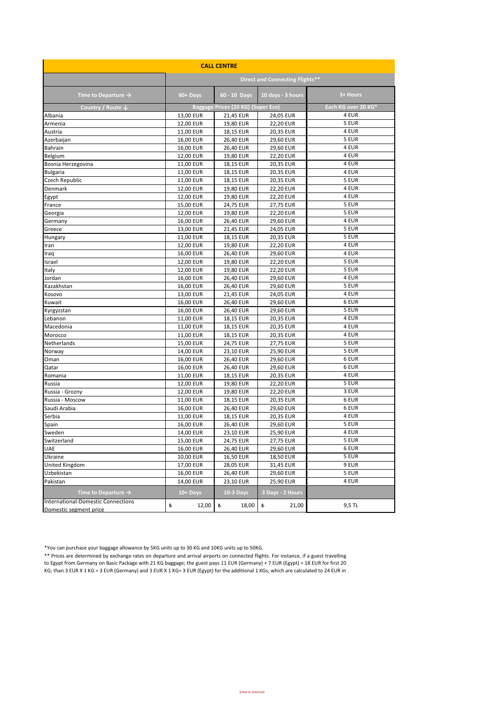| <b>CALL CENTRE</b>                                                           |            |                                    |                                 |                     |  |  |  |
|------------------------------------------------------------------------------|------------|------------------------------------|---------------------------------|---------------------|--|--|--|
|                                                                              |            |                                    | Direct and Connecting Flights** |                     |  |  |  |
| Time to Departure $\rightarrow$                                              | 60+ Days   | 60 - 10 Days                       | 10 days - 3 hours               | 3+ Hours            |  |  |  |
| Country / Route $\downarrow$                                                 |            | Baggage Prices (20 KG) (Super Eco) |                                 | Each KG over 20 KG* |  |  |  |
| Albania                                                                      | 13,00 EUR  | 21,45 EUR                          | 24,05 EUR                       | 4 EUR               |  |  |  |
| Armenia                                                                      | 12,00 EUR  | 19,80 EUR                          | <b>22,20 EUR</b>                | 5 EUR               |  |  |  |
| Austria                                                                      | 11,00 EUR  | 18,15 EUR                          | 20,35 EUR                       | 4 EUR               |  |  |  |
| Azerbaijan                                                                   | 16,00 EUR  | 26,40 EUR                          | 29,60 EUR                       | 5 EUR               |  |  |  |
| <b>Bahrain</b>                                                               | 16,00 EUR  | 26,40 EUR                          | 29,60 EUR                       | 4 EUR               |  |  |  |
| Belgium                                                                      | 12,00 EUR  | 19,80 EUR                          | <b>22,20 EUR</b>                | 4 EUR               |  |  |  |
| Bosnia Herzegovina                                                           | 11,00 EUR  | 18,15 EUR                          | 20,35 EUR                       | 4 EUR               |  |  |  |
| <b>Bulgaria</b>                                                              | 11,00 EUR  | 18,15 EUR                          | 20,35 EUR                       | 4 EUR               |  |  |  |
| Czech Republic                                                               | 11,00 EUR  | 18,15 EUR                          | 20,35 EUR                       | 5 EUR               |  |  |  |
| Denmark                                                                      | 12,00 EUR  | 19,80 EUR                          | <b>22,20 EUR</b>                | 4 EUR               |  |  |  |
| Egypt                                                                        | 12,00 EUR  | 19,80 EUR                          | <b>22,20 EUR</b>                | 4 EUR               |  |  |  |
| France                                                                       | 15,00 EUR  | 24,75 EUR                          | 27,75 EUR                       | 5 EUR               |  |  |  |
| Georgia                                                                      | 12,00 EUR  | 19,80 EUR                          | <b>22,20 EUR</b>                | 5 EUR               |  |  |  |
| Germany                                                                      | 16,00 EUR  | 26,40 EUR                          | 29,60 EUR                       | 4 EUR               |  |  |  |
| Greece                                                                       | 13,00 EUR  | 21,45 EUR                          | 24,05 EUR                       | 5 EUR               |  |  |  |
| Hungary                                                                      | 11,00 EUR  | 18,15 EUR                          | 20,35 EUR                       | 5 EUR               |  |  |  |
| Iran                                                                         | 12,00 EUR  | 19,80 EUR                          | <b>22,20 EUR</b>                | 4 EUR               |  |  |  |
| Iraq                                                                         | 16,00 EUR  | 26,40 EUR                          | 29,60 EUR                       | 4 EUR               |  |  |  |
| Israel                                                                       | 12,00 EUR  | 19,80 EUR                          | <b>22,20 EUR</b>                | 5 EUR               |  |  |  |
| Italy                                                                        | 12,00 EUR  | 19,80 EUR                          | <b>22,20 EUR</b>                | 5 EUR               |  |  |  |
| Jordan                                                                       | 16,00 EUR  | 26,40 EUR                          | 29,60 EUR                       | 4 EUR               |  |  |  |
| Kazakhstan                                                                   | 16,00 EUR  | 26,40 EUR                          | 29,60 EUR                       | 5 EUR               |  |  |  |
| Kosovo                                                                       | 13,00 EUR  | 21,45 EUR                          | 24,05 EUR                       | 4 EUR               |  |  |  |
| Kuwait                                                                       | 16,00 EUR  | 26,40 EUR                          | 29,60 EUR                       | 6 EUR               |  |  |  |
| Kyrgyzstan                                                                   | 16,00 EUR  | 26,40 EUR                          | 29,60 EUR                       | 5 EUR               |  |  |  |
| Lebanon                                                                      | 11,00 EUR  | 18,15 EUR                          | 20,35 EUR                       | 4 EUR               |  |  |  |
| Macedonia                                                                    | 11,00 EUR  | 18,15 EUR                          | 20,35 EUR                       | 4 EUR               |  |  |  |
| Morocco                                                                      | 11,00 EUR  | 18,15 EUR                          | 20,35 EUR                       | 4 EUR               |  |  |  |
| Netherlands                                                                  | 15,00 EUR  | 24,75 EUR                          | 27,75 EUR                       | 5 EUR               |  |  |  |
| Norway                                                                       | 14,00 EUR  | 23,10 EUR                          | 25,90 EUR                       | 5 EUR               |  |  |  |
| Oman                                                                         | 16,00 EUR  | 26,40 EUR                          | 29,60 EUR                       | 6 EUR               |  |  |  |
| Qatar                                                                        | 16,00 EUR  | 26,40 EUR                          | 29,60 EUR                       | 6 EUR               |  |  |  |
| Romania                                                                      | 11,00 EUR  | 18,15 EUR                          | 20,35 EUR                       | 4 EUR               |  |  |  |
| Russia                                                                       | 12,00 EUR  | 19,80 EUR                          | 22,20 EUR                       | 5 EUR               |  |  |  |
| Russia - Grozny                                                              | 12,00 EUR  | 19,80 EUR                          | <b>22,20 EUR</b>                | 3 EUR               |  |  |  |
| Russia - Moscow                                                              | 11,00 EUR  | 18,15 EUR                          | 20,35 EUR                       | 6 EUR               |  |  |  |
| Saudi Arabia                                                                 | 16,00 EUR  | 26,40 EUR                          | 29,60 EUR                       | 6 EUR               |  |  |  |
| Serbia                                                                       | 11,00 EUR  | 18,15 EUR                          | 20,35 EUR                       | 4 EUR               |  |  |  |
| Spain                                                                        | 16,00 EUR  | 26,40 EUR                          | 29,60 EUR                       | 5 EUR               |  |  |  |
| Sweden                                                                       | 14,00 EUR  | 23,10 EUR                          | 25,90 EUR                       | 4 EUR               |  |  |  |
| Switzerland                                                                  | 15,00 EUR  | 24,75 EUR                          | 27,75 EUR                       | 5 EUR               |  |  |  |
| <b>UAE</b>                                                                   | 16,00 EUR  | 26,40 EUR                          | 29,60 EUR                       | 6 EUR               |  |  |  |
| Ukraine                                                                      | 10,00 EUR  | 16,50 EUR                          | 18,50 EUR                       | 5 EUR               |  |  |  |
| United Kingdom                                                               | 17,00 EUR  | 28,05 EUR                          | 31,45 EUR                       | 9 EUR               |  |  |  |
| Uzbekistan                                                                   | 16,00 EUR  | 26,40 EUR                          | 29,60 EUR                       | 5 EUR               |  |  |  |
| Pakistan                                                                     | 14,00 EUR  | 23,10 EUR                          | 25,90 EUR                       | 4 EUR               |  |  |  |
|                                                                              |            |                                    |                                 |                     |  |  |  |
| Time to Departure $\rightarrow$<br><b>International-Domestic Connections</b> | 10+ Days   | <b>10-3 Days</b>                   | 3 Days - 2 Hours                |                     |  |  |  |
| Domestic segment price                                                       | ŧ<br>12,00 | 老<br>18,00                         | 老<br>21,00                      | 9,5 TL              |  |  |  |

\*You can purchase your baggage allowance by 5KG units up to 30 KG and 10KG units up to 50KG.

\*\* Prices are determined by exchange rates on departure and arrival airports on connected flights. For instance, if a guest travelling to Egypt from Germany on Basic Package with 21 KG baggage; the guest pays 11 EUR (Germany) + 7 EUR (Egypt) = 18 EUR for first 20 KG; than 3 EUR X 1 KG = 3 EUR (Germany) and 3 EUR X 1 KG= 3 EUR (Egypt) for the additional 1 KGs, which are calculated to 24 EUR in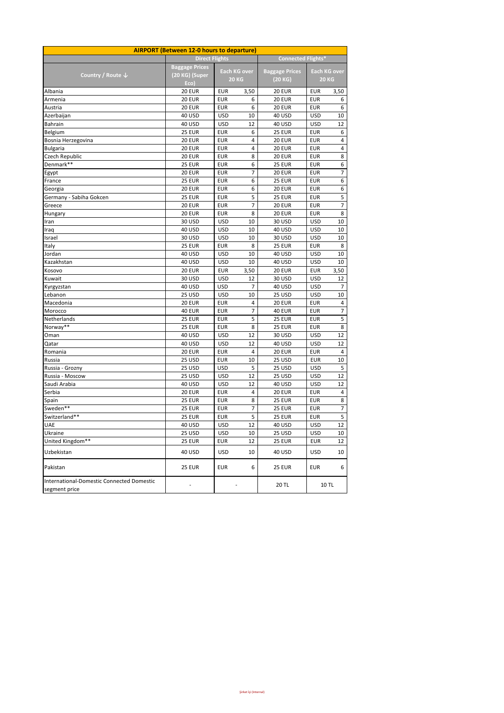| <b>AIRPORT (Between 12-0 hours to departure)</b>           |                       |            |                                     |                          |                     |              |  |  |  |  |
|------------------------------------------------------------|-----------------------|------------|-------------------------------------|--------------------------|---------------------|--------------|--|--|--|--|
|                                                            | <b>Direct Flights</b> |            |                                     | <b>Connected Flights</b> |                     |              |  |  |  |  |
|                                                            | <b>Baggage Prices</b> |            |                                     |                          | <b>Each KG over</b> |              |  |  |  |  |
| Country / Route $\downarrow$                               | (20 KG) (Super        |            | <b>Each KG over</b><br><b>20 KG</b> | <b>Baggage Prices</b>    |                     | <b>20 KG</b> |  |  |  |  |
|                                                            | Eco)                  |            |                                     | (20 KG)                  |                     |              |  |  |  |  |
| Albania                                                    | <b>20 EUR</b>         | <b>EUR</b> | 3,50                                | <b>20 EUR</b>            | <b>EUR</b>          | 3,50         |  |  |  |  |
| Armenia                                                    | <b>20 EUR</b>         | <b>EUR</b> | 6                                   | <b>20 EUR</b>            | <b>EUR</b>          | 6            |  |  |  |  |
| Austria                                                    | <b>20 EUR</b>         | <b>EUR</b> | 6                                   | <b>20 EUR</b>            | <b>EUR</b>          | 6            |  |  |  |  |
| Azerbaijan                                                 | 40 USD                | <b>USD</b> | 10                                  | <b>40 USD</b>            | <b>USD</b>          | 10           |  |  |  |  |
| <b>Bahrain</b>                                             | 40 USD                | <b>USD</b> | 12                                  | <b>40 USD</b>            | <b>USD</b>          | 12           |  |  |  |  |
| Belgium                                                    | <b>25 EUR</b>         | EUR        | 6                                   | <b>25 EUR</b>            | <b>EUR</b>          | 6            |  |  |  |  |
| Bosnia Herzegovina                                         | <b>20 EUR</b>         | <b>EUR</b> | 4                                   | <b>20 EUR</b>            | <b>EUR</b>          | 4            |  |  |  |  |
| <b>Bulgaria</b>                                            | <b>20 EUR</b>         | <b>EUR</b> | 4                                   | <b>20 EUR</b>            | <b>EUR</b>          | 4            |  |  |  |  |
| Czech Republic                                             | <b>20 EUR</b>         | <b>EUR</b> | 8                                   | <b>20 EUR</b>            | <b>EUR</b>          | 8            |  |  |  |  |
| Denmark**                                                  | <b>25 EUR</b>         | <b>EUR</b> | 6                                   | <b>25 EUR</b>            | <b>EUR</b>          | 6            |  |  |  |  |
| Egypt                                                      | <b>20 EUR</b>         | EUR        | 7                                   | <b>20 EUR</b>            | <b>EUR</b>          | 7            |  |  |  |  |
| France                                                     | <b>25 EUR</b>         | <b>EUR</b> | 6                                   | <b>25 EUR</b>            | <b>EUR</b>          | 6            |  |  |  |  |
| Georgia                                                    | <b>20 EUR</b>         | <b>EUR</b> | 6                                   | <b>20 EUR</b>            | <b>EUR</b>          | 6            |  |  |  |  |
| Germany - Sabiha Gokcen                                    | <b>25 EUR</b>         | <b>EUR</b> | 5                                   | <b>25 EUR</b>            | <b>EUR</b>          | 5            |  |  |  |  |
| Greece                                                     | <b>20 EUR</b>         | <b>EUR</b> | 7                                   | <b>20 EUR</b>            | <b>EUR</b>          | 7            |  |  |  |  |
| Hungary                                                    | <b>20 EUR</b>         | EUR        | 8                                   | <b>20 EUR</b>            | <b>EUR</b>          | 8            |  |  |  |  |
| Iran                                                       | 30 USD                | <b>USD</b> | 10                                  | 30 USD                   | <b>USD</b>          | 10           |  |  |  |  |
| Iraq                                                       | 40 USD                | <b>USD</b> | 10                                  | <b>40 USD</b>            | <b>USD</b>          | 10           |  |  |  |  |
| Israel                                                     | 30 USD                | <b>USD</b> | 10                                  | 30 USD                   | <b>USD</b>          | 10           |  |  |  |  |
| Italy                                                      | <b>25 EUR</b>         | EUR        | 8                                   | <b>25 EUR</b>            | <b>EUR</b>          | 8            |  |  |  |  |
| Jordan                                                     | 40 USD                | <b>USD</b> | 10                                  | <b>40 USD</b>            | <b>USD</b>          | 10           |  |  |  |  |
| Kazakhstan                                                 | <b>40 USD</b>         | <b>USD</b> | 10                                  | <b>40 USD</b>            | <b>USD</b>          | 10           |  |  |  |  |
| Kosovo                                                     | <b>20 EUR</b>         | <b>EUR</b> | 3,50                                | <b>20 EUR</b>            | <b>EUR</b>          | 3,50         |  |  |  |  |
| Kuwait                                                     | 30 USD                | <b>USD</b> | 12                                  | 30 USD                   | <b>USD</b>          | 12           |  |  |  |  |
| Kyrgyzstan                                                 | 40 USD                | <b>USD</b> | 7                                   | <b>40 USD</b>            | <b>USD</b>          | 7            |  |  |  |  |
| Lebanon                                                    | <b>25 USD</b>         | <b>USD</b> | 10                                  | 25 USD                   | <b>USD</b>          | 10           |  |  |  |  |
| Macedonia                                                  | <b>20 EUR</b>         | <b>EUR</b> | 4                                   | <b>20 EUR</b>            | <b>EUR</b>          | 4            |  |  |  |  |
| Morocco                                                    | <b>40 EUR</b>         | <b>EUR</b> | 7                                   | <b>40 EUR</b>            | <b>EUR</b>          | 7            |  |  |  |  |
| Netherlands                                                | <b>25 EUR</b>         | <b>EUR</b> | 5                                   | <b>25 EUR</b>            | <b>EUR</b>          | 5            |  |  |  |  |
| Norway**                                                   | <b>25 EUR</b>         | <b>EUR</b> | 8                                   | <b>25 EUR</b>            | <b>EUR</b>          | 8            |  |  |  |  |
| Oman                                                       | 40 USD                | <b>USD</b> | 12                                  | 30 USD                   | <b>USD</b>          | 12           |  |  |  |  |
| Qatar                                                      | 40 USD                | <b>USD</b> | 12                                  | <b>40 USD</b>            | <b>USD</b>          | 12           |  |  |  |  |
| Romania                                                    | <b>20 EUR</b>         | <b>EUR</b> | 4                                   | <b>20 EUR</b>            | <b>EUR</b>          | 4            |  |  |  |  |
| Russia                                                     | <b>25 USD</b>         | EUR        | 10                                  | 25 USD                   | <b>EUR</b>          | 10           |  |  |  |  |
| Russia - Grozny                                            | <b>25 USD</b>         | <b>USD</b> | 5                                   | 25 USD                   | <b>USD</b>          | 5            |  |  |  |  |
| Russia - Moscow                                            | <b>25 USD</b>         | <b>USD</b> | 12                                  | 25 USD                   | <b>USD</b>          | 12           |  |  |  |  |
| Saudi Arabia                                               | 40 USD                | <b>USD</b> | 12                                  | <b>40 USD</b>            | <b>USD</b>          | 12           |  |  |  |  |
| Serbia                                                     | <b>20 EUR</b>         | <b>EUR</b> | 4                                   | <b>20 EUR</b>            | <b>EUR</b>          | 4            |  |  |  |  |
| Spain                                                      | <b>25 EUR</b>         | <b>EUR</b> | 8                                   | <b>25 EUR</b>            | EUR                 | 8            |  |  |  |  |
| Sweden**                                                   | <b>25 EUR</b>         | <b>EUR</b> | 7                                   | <b>25 EUR</b>            | <b>EUR</b>          | 7            |  |  |  |  |
| Switzerland**                                              | <b>25 EUR</b>         | <b>EUR</b> | 5                                   | <b>25 EUR</b>            | EUR                 | 5            |  |  |  |  |
| UAE                                                        | 40 USD                | <b>USD</b> | 12                                  | 40 USD                   | <b>USD</b>          | 12           |  |  |  |  |
| Ukraine                                                    | 25 USD                | <b>USD</b> | 10                                  | <b>25 USD</b>            | <b>USD</b>          | 10           |  |  |  |  |
| United Kingdom**                                           | <b>25 EUR</b><br>EUR  |            | 12                                  | <b>25 EUR</b>            | EUR                 | 12           |  |  |  |  |
| Uzbekistan                                                 | 40 USD                | <b>USD</b> | 10                                  | 40 USD                   | USD                 | 10           |  |  |  |  |
| Pakistan                                                   | <b>25 EUR</b>         | <b>EUR</b> | 6                                   | <b>25 EUR</b>            | <b>EUR</b>          | 6            |  |  |  |  |
| International-Domestic Connected Domestic<br>segment price |                       |            |                                     | 20 TL                    |                     | <b>10 TL</b> |  |  |  |  |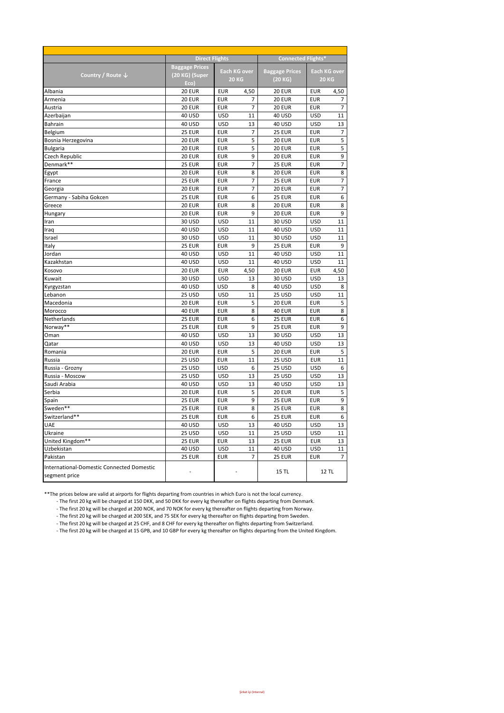|                                                  | <b>Direct Flights</b> |                                     |                | <b>Connected Flights*</b> |            |                |  |  |
|--------------------------------------------------|-----------------------|-------------------------------------|----------------|---------------------------|------------|----------------|--|--|
|                                                  | <b>Baggage Prices</b> |                                     |                |                           |            |                |  |  |
| Country / Route ↓                                | (20 KG) (Super        | <b>Each KG over</b><br><b>20 KG</b> |                | <b>Baggage Prices</b>     |            | Each KG over   |  |  |
|                                                  | Eco)                  |                                     |                | (20 KG)                   |            | <b>20 KG</b>   |  |  |
| Albania                                          | <b>20 EUR</b>         | <b>EUR</b>                          | 4,50           | <b>20 EUR</b>             | <b>EUR</b> | 4,50           |  |  |
| Armenia                                          | <b>20 EUR</b>         | <b>EUR</b>                          | 7              | <b>20 EUR</b>             | <b>EUR</b> | 7              |  |  |
| Austria                                          | <b>20 EUR</b>         | <b>EUR</b>                          | 7              | <b>20 EUR</b>             | <b>EUR</b> | $\overline{7}$ |  |  |
| Azerbaijan                                       | 40 USD                | <b>USD</b>                          | 11             | <b>40 USD</b>             | <b>USD</b> | 11             |  |  |
| <b>Bahrain</b>                                   | 40 USD                | <b>USD</b>                          | 13             | 40 USD                    | <b>USD</b> | 13             |  |  |
| Belgium                                          | <b>25 EUR</b>         | <b>EUR</b>                          | 7              | <b>25 EUR</b>             | <b>EUR</b> | 7              |  |  |
| Bosnia Herzegovina                               | <b>20 EUR</b>         | <b>EUR</b>                          | 5              | <b>20 EUR</b>             | <b>EUR</b> | 5              |  |  |
| <b>Bulgaria</b>                                  | <b>20 EUR</b>         | <b>EUR</b>                          | 5              | <b>20 EUR</b>             | <b>EUR</b> | 5              |  |  |
| Czech Republic                                   | <b>20 EUR</b>         | <b>EUR</b>                          | 9              | <b>20 EUR</b>             | <b>EUR</b> | 9              |  |  |
| Denmark**                                        | <b>25 EUR</b>         | <b>EUR</b>                          | $\overline{7}$ | <b>25 EUR</b>             | <b>EUR</b> | $\overline{7}$ |  |  |
| Egypt                                            | <b>20 EUR</b>         | <b>EUR</b>                          | 8              | <b>20 EUR</b>             | <b>EUR</b> | 8              |  |  |
| France                                           | 25 EUR                | <b>EUR</b>                          | $\overline{7}$ | 25 EUR                    | <b>EUR</b> | $\overline{7}$ |  |  |
| Georgia                                          | <b>20 EUR</b>         | <b>EUR</b>                          | $\overline{7}$ | <b>20 EUR</b>             | <b>EUR</b> | $\overline{7}$ |  |  |
| Germany - Sabiha Gokcen                          | <b>25 EUR</b>         | <b>EUR</b>                          | 6              | <b>25 EUR</b>             | <b>EUR</b> | 6              |  |  |
| Greece                                           | <b>20 EUR</b>         | <b>EUR</b>                          | 8              | <b>20 EUR</b>             | <b>EUR</b> | 8              |  |  |
|                                                  | <b>20 EUR</b>         | <b>EUR</b>                          | 9              | <b>20 EUR</b>             | <b>EUR</b> | 9              |  |  |
| Hungary                                          | 30 USD                | <b>USD</b>                          | 11             | 30 USD                    | <b>USD</b> | 11             |  |  |
| Iran                                             |                       |                                     |                |                           |            | 11             |  |  |
| Iraq                                             | 40 USD                | <b>USD</b>                          | 11             | 40 USD                    | <b>USD</b> |                |  |  |
| Israel                                           | 30 USD                | <b>USD</b>                          | 11             | 30 USD                    | <b>USD</b> | 11             |  |  |
| Italy                                            | <b>25 EUR</b>         | <b>EUR</b>                          | 9              | <b>25 EUR</b>             | <b>EUR</b> | 9              |  |  |
| Jordan                                           | 40 USD                | <b>USD</b>                          | 11             | <b>40 USD</b>             | <b>USD</b> | 11             |  |  |
| Kazakhstan                                       | <b>40 USD</b>         | <b>USD</b>                          | 11             | <b>40 USD</b>             | <b>USD</b> | 11             |  |  |
| Kosovo                                           | <b>20 EUR</b>         | <b>EUR</b>                          | 4,50           | <b>20 EUR</b>             | <b>EUR</b> | 4,50           |  |  |
| Kuwait                                           | 30 USD                | <b>USD</b>                          | 13             | 30 USD                    | <b>USD</b> | 13             |  |  |
| Kyrgyzstan                                       | 40 USD                | <b>USD</b>                          | 8              | <b>40 USD</b>             | <b>USD</b> | 8              |  |  |
| Lebanon                                          | 25 USD                | <b>USD</b>                          | 11             | 25 USD                    | <b>USD</b> | 11             |  |  |
| Macedonia                                        | <b>20 EUR</b>         | <b>EUR</b>                          | 5              | <b>20 EUR</b>             | <b>EUR</b> | 5              |  |  |
| Morocco                                          | 40 EUR                | <b>EUR</b>                          | 8              | 40 EUR                    | <b>EUR</b> | 8              |  |  |
| Netherlands                                      | <b>25 EUR</b>         | <b>EUR</b>                          | 6              | <b>25 EUR</b>             | <b>EUR</b> | 6              |  |  |
| Norway**                                         | <b>25 EUR</b>         | <b>EUR</b>                          | 9              | <b>25 EUR</b>             | <b>EUR</b> | 9              |  |  |
| Oman                                             | 40 USD                | <b>USD</b>                          | 13             | 30 USD                    | <b>USD</b> | 13             |  |  |
| Qatar                                            | 40 USD                | <b>USD</b>                          | 13             | <b>40 USD</b>             | <b>USD</b> | 13             |  |  |
| Romania                                          | <b>20 EUR</b>         | <b>EUR</b>                          | 5              | <b>20 EUR</b>             | <b>EUR</b> | 5              |  |  |
| Russia                                           | 25 USD                | <b>EUR</b>                          | 11             | 25 USD                    | <b>EUR</b> | 11             |  |  |
| Russia - Grozny                                  | 25 USD                | <b>USD</b>                          | 6              | 25 USD                    | <b>USD</b> | 6              |  |  |
| Russia - Moscow                                  | 25 USD                | <b>USD</b>                          | 13             | 25 USD                    | <b>USD</b> | 13             |  |  |
| Saudi Arabia                                     | 40 USD                | <b>USD</b>                          | 13             | <b>40 USD</b>             | <b>USD</b> | 13             |  |  |
| Serbia                                           | <b>20 EUR</b>         | <b>EUR</b>                          | 5              | <b>20 EUR</b>             | <b>EUR</b> | 5              |  |  |
| Spain                                            | <b>25 EUR</b>         | <b>EUR</b>                          | 9              | <b>25 EUR</b>             | <b>EUR</b> | 9              |  |  |
| Sweden**                                         | <b>25 EUR</b>         | <b>EUR</b>                          | 8              | <b>25 EUR</b>             | <b>EUR</b> | 8              |  |  |
| Switzerland**                                    | 25 EUR                | <b>EUR</b>                          | 6              | 25 EUR                    | <b>EUR</b> | 6              |  |  |
| UAE                                              | 40 USD                | <b>USD</b>                          | 13             | <b>40 USD</b>             | <b>USD</b> | 13             |  |  |
| Ukraine                                          | 25 USD                | <b>USD</b>                          | 11             | 25 USD                    | <b>USD</b> | 11             |  |  |
| United Kingdom**                                 | <b>25 EUR</b>         | <b>EUR</b>                          | 13             | <b>25 EUR</b>             | <b>EUR</b> | 13             |  |  |
| Uzbekistan                                       | <b>40 USD</b>         | <b>USD</b>                          | 11             | <b>40 USD</b>             | <b>USD</b> | 11             |  |  |
| Pakistan                                         | <b>25 EUR</b>         | <b>EUR</b>                          | 7              | <b>25 EUR</b>             | <b>EUR</b> | 7              |  |  |
|                                                  |                       |                                     |                |                           |            |                |  |  |
| <b>International-Domestic Connected Domestic</b> |                       |                                     |                | <b>15 TL</b>              |            | <b>12 TL</b>   |  |  |
| segment price                                    |                       |                                     |                |                           |            |                |  |  |

\*\* The prices below are valid at airports for flights departing from countries in which Euro is not the local currency.

- The first 20 kg will be charged at 150 DKK, and 50 DKK for every kg thereafter on flights departing from Denmark.

- The first 20 kg will be charged at 200 NOK, and 70 NOK for every kg thereafter on flights departing from Norway.

- The first 20 kg will be charged at 200 SEK, and 75 SEK for every kg thereafter on flights departing from Sweden.

- The first 20 kg will be charged at 25 CHF, and 8 CHF for every kg thereafter on flights departing from Switzerland.

- The first 20 kg will be charged at 15 GPB, and 10 GBP for every kg thereafter on flights departing from the United Kingdom.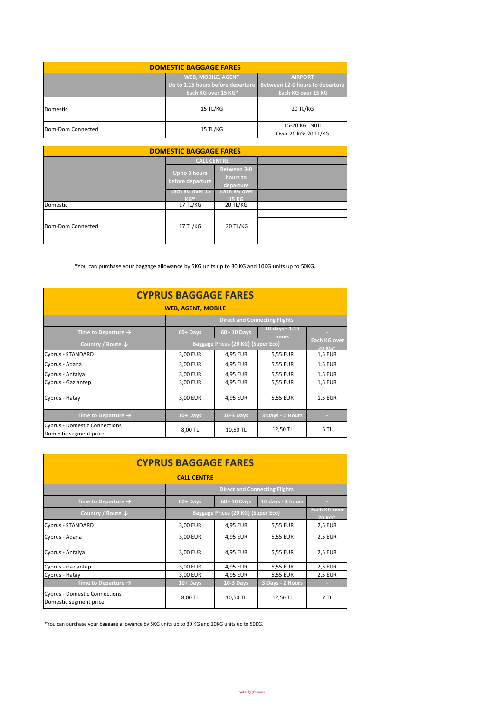| <b>DOMESTIC BAGGAGE FARES</b> |                                                                     |                      |  |  |  |  |  |
|-------------------------------|---------------------------------------------------------------------|----------------------|--|--|--|--|--|
|                               | <b>WEB, MOBILE, AGENT</b>                                           | <b>AIRPORT</b>       |  |  |  |  |  |
|                               | Up to 1.15 hours before departure   Between 12-0 hours to departure |                      |  |  |  |  |  |
|                               | Each KG over 15 KG*                                                 | Each KG over 15 KG   |  |  |  |  |  |
| <b>Domestic</b>               | 15 TL/KG                                                            | 20 TL/KG             |  |  |  |  |  |
| Dom-Dom Connected             | 15 TL/KG                                                            | 15-20 KG: 90TL       |  |  |  |  |  |
|                               |                                                                     | Over 20 KG: 20 TL/KG |  |  |  |  |  |

| <b>DOMESTIC BAGGAGE FARES</b> |                                   |                                      |  |  |  |  |  |  |
|-------------------------------|-----------------------------------|--------------------------------------|--|--|--|--|--|--|
|                               | <b>CALL CENTRE</b>                |                                      |  |  |  |  |  |  |
|                               | Up to 3 hours<br>before departure | Between 3-0<br>hours to<br>departure |  |  |  |  |  |  |
|                               | Each KG over 15<br>$KG*$          | Each KG over<br><b>15 KG</b>         |  |  |  |  |  |  |
| Domestic                      | 17 TL/KG                          | 20 TL/KG                             |  |  |  |  |  |  |
| Dom-Dom Connected             | 17 TL/KG                          | 20 TL/KG                             |  |  |  |  |  |  |

\*You can purchase your baggage allowance by 5KG units up to 30 KG and 10KG units up to 50KG.

| <b>CYPRUS BAGGAGE FARES</b>                                    |                                      |                         |                         |                |  |  |  |  |
|----------------------------------------------------------------|--------------------------------------|-------------------------|-------------------------|----------------|--|--|--|--|
| <b>WEB, AGENT, MOBILE</b>                                      |                                      |                         |                         |                |  |  |  |  |
|                                                                | <b>Direct and Connecting Flights</b> |                         |                         |                |  |  |  |  |
| Time to Departure $\rightarrow$                                | 60+ Days                             | 60 - 10 Days            | 10 days - 1.15<br>hours |                |  |  |  |  |
| Country / Route $\downarrow$                                   | Baggage Prices (20 KG) (Super Eco)   | Each KG over<br>$20 K*$ |                         |                |  |  |  |  |
| Cyprus - STANDARD                                              | 3,00 EUR                             | 4,95 EUR                | 5,55 EUR                | 1,5 EUR        |  |  |  |  |
| Cyprus - Adana                                                 | 3,00 EUR                             | 4,95 EUR                | 5,55 EUR                | <b>1,5 EUR</b> |  |  |  |  |
| Cyprus - Antalya                                               | 3,00 EUR                             | 4,95 EUR                | 5,55 EUR                | <b>1,5 EUR</b> |  |  |  |  |
| Cyprus - Gaziantep                                             | 3,00 EUR                             | 4,95 EUR                | 5,55 EUR                | <b>1,5 EUR</b> |  |  |  |  |
| Cyprus - Hatay                                                 | 3,00 EUR                             | 4,95 EUR                | 5,55 EUR                | <b>1,5 EUR</b> |  |  |  |  |
| Time to Departure $\rightarrow$                                | $10 +$ Days                          | <b>10-3 Days</b>        | 3 Days - 2 Hours        | <b>COLL</b>    |  |  |  |  |
| <b>Cyprus - Domestic Connections</b><br>Domestic segment price | 8,00 TL                              | 10,50 TL                | 12,50 TL                | 5 TL           |  |  |  |  |

| <b>CYPRUS BAGGAGE FARES</b>                                    |                                    |                          |                                      |                |  |  |  |  |
|----------------------------------------------------------------|------------------------------------|--------------------------|--------------------------------------|----------------|--|--|--|--|
| <b>CALL CENTRE</b>                                             |                                    |                          |                                      |                |  |  |  |  |
|                                                                |                                    |                          | <b>Direct and Connecting Flights</b> |                |  |  |  |  |
| Time to Departure $\rightarrow$                                | 60+ Days                           | 60 - 10 Days             | 10 days - 3 hours                    |                |  |  |  |  |
| Country / Route $\downarrow$                                   | Baggage Prices (20 KG) (Super Eco) | Each KG over<br>$20 KG*$ |                                      |                |  |  |  |  |
| Cyprus - STANDARD                                              | 3,00 EUR                           | 4,95 EUR                 | 5,55 EUR                             | <b>2,5 EUR</b> |  |  |  |  |
| Cyprus - Adana                                                 | 3,00 EUR                           | 4,95 EUR                 | 5,55 EUR                             | <b>2,5 EUR</b> |  |  |  |  |
| Cyprus - Antalya                                               | 3,00 EUR                           | 4,95 EUR                 | 5,55 EUR                             | <b>2,5 EUR</b> |  |  |  |  |
| Cyprus - Gaziantep                                             | 3,00 EUR                           | 4,95 EUR                 | 5,55 EUR                             | <b>2,5 EUR</b> |  |  |  |  |
| Cyprus - Hatay                                                 | 3,00 EUR                           | 4,95 EUR                 | 5,55 EUR                             | <b>2,5 EUR</b> |  |  |  |  |
| Time to Departure $\rightarrow$                                | $10 +$ Days                        | <b>10-3 Days</b>         | 3 Days - 2 Hours                     | ×.             |  |  |  |  |
| <b>Cyprus - Domestic Connections</b><br>Domestic segment price | 8,00 TL                            | 10,50 TL                 | 12,50 TL                             | 7 TL           |  |  |  |  |

\*You can purchase your baggage allowance by 5KG units up to 30 KG and 10KG units up to 50KG.